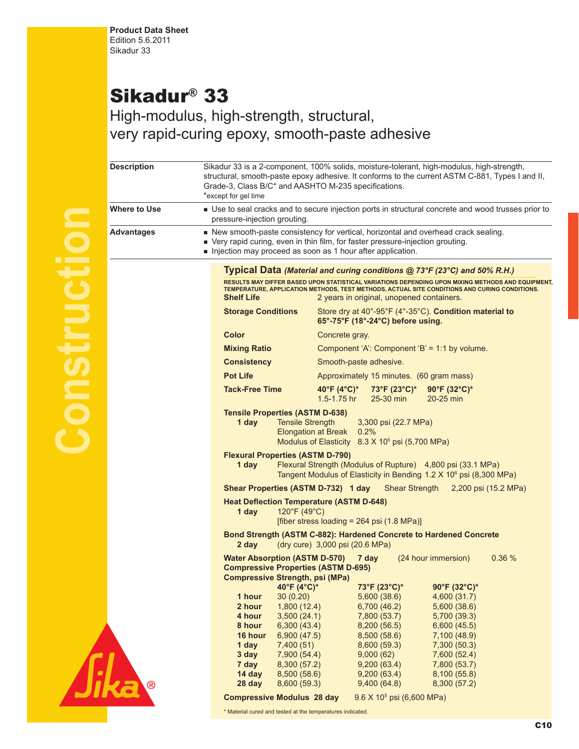## Sikadur® 33

High-modulus, high-strength, structural, very rapid-curing epoxy, smooth-paste adhesive

| <b>Description</b> | Sikadur 33 is a 2-component, 100% solids, moisture-tolerant, high-modulus, high-strength,<br>structural, smooth-paste epoxy adhesive. It conforms to the current ASTM C-881, Types I and II,<br>Grade-3, Class B/C* and AASHTO M-235 specifications.<br>*except for gel time                                                                                                                        |
|--------------------|-----------------------------------------------------------------------------------------------------------------------------------------------------------------------------------------------------------------------------------------------------------------------------------------------------------------------------------------------------------------------------------------------------|
| Where to Use       | Use to seal cracks and to secure injection ports in structural concrete and wood trusses prior to<br>pressure-injection grouting.                                                                                                                                                                                                                                                                   |
| Advantages         | • New smooth-paste consistency for vertical, horizontal and overhead crack sealing.<br>■ Very rapid curing, even in thin film, for faster pressure-injection grouting.<br>Injection may proceed as soon as 1 hour after application.                                                                                                                                                                |
|                    | Typical Data (Material and curing conditions @ 73°F (23°C) and 50% R.H.)                                                                                                                                                                                                                                                                                                                            |
|                    | RESULTS MAY DIFFER BASED UPON STATISTICAL VARIATIONS DEPENDING UPON MIXING METHODS AND EQUIPMENT,<br>TEMPERATURE, APPLICATION METHODS, TEST METHODS, ACTUAL SITE CONDITIONS AND CURING CONDITIONS.<br><b>Shelf Life</b><br>2 years in original, unopened containers.                                                                                                                                |
|                    | Store dry at 40°-95°F (4°-35°C). Condition material to<br><b>Storage Conditions</b><br>65°-75°F (18°-24°C) before using.                                                                                                                                                                                                                                                                            |
|                    | <b>Color</b><br>Concrete gray.                                                                                                                                                                                                                                                                                                                                                                      |
|                    | <b>Mixing Ratio</b><br>Component 'A': Component 'B' = 1:1 by volume.                                                                                                                                                                                                                                                                                                                                |
|                    | <b>Consistency</b><br>Smooth-paste adhesive.                                                                                                                                                                                                                                                                                                                                                        |
|                    | <b>Pot Life</b><br>Approximately 15 minutes. (60 gram mass)                                                                                                                                                                                                                                                                                                                                         |
|                    | <b>Tack-Free Time</b><br>40°F (4°C)*<br>$73^{\circ}$ F (23 $^{\circ}$ C)*<br>90°F (32°C)*<br>1.5-1.75 hr<br>25-30 min<br>20-25 min                                                                                                                                                                                                                                                                  |
|                    | <b>Tensile Properties (ASTM D-638)</b><br>1 day<br><b>Tensile Strength</b><br>3,300 psi (22.7 MPa)<br><b>Elongation at Break</b><br>0.2%<br>Modulus of Elasticity 8.3 X 10 <sup>5</sup> psi (5,700 MPa)                                                                                                                                                                                             |
|                    | <b>Flexural Properties (ASTM D-790)</b><br>Flexural Strength (Modulus of Rupture) 4,800 psi (33.1 MPa)<br>1 day<br>Tangent Modulus of Elasticity in Bending 1.2 X 10 <sup>6</sup> psi (8,300 MPa)                                                                                                                                                                                                   |
|                    | Shear Properties (ASTM D-732) 1 day<br><b>Shear Strength</b><br>2,200 psi (15.2 MPa)                                                                                                                                                                                                                                                                                                                |
|                    | <b>Heat Deflection Temperature (ASTM D-648)</b><br>120°F (49°C)<br>1 day<br>[fiber stress loading = $264$ psi (1.8 MPa)]                                                                                                                                                                                                                                                                            |
|                    | Bond Strength (ASTM C-882): Hardened Concrete to Hardened Concrete<br>(dry cure) 3,000 psi (20.6 MPa)<br>2 day                                                                                                                                                                                                                                                                                      |
|                    | <b>Water Absorption (ASTM D-570) 7 day</b><br>(24 hour immersion)<br>0.36%<br><b>Compressive Properties (ASTM D-695)</b><br><b>Compressive Strength, psi (MPa)</b>                                                                                                                                                                                                                                  |
|                    | 73°F (23°C)*<br>90°F (32°C)*<br>$40^{\circ}$ F (4°C)*<br>1 hour<br>30(0.20)<br>5,600 (38.6)<br>4,600 (31.7)<br>2 hour<br>1,800(12.4)<br>6,700 (46.2)<br>5,600(38.6)<br>4 hour<br>3,500(24.1)<br>7,800 (53.7)<br>5,700 (39.3)<br>6,300(43.4)<br>8,200(56.5)<br>6,600(45.5)<br>8 hour<br>16 hour<br>8,500 (58.6)<br>6,900(47.5)<br>7,100 (48.9)<br>1 day<br>7,400(51)<br>8,600 (59.3)<br>7,300 (50.3) |
| $^\circledR$       | 3 day<br>7,900 (54.4)<br>9,000(62)<br>7,600 (52.4)<br>7,800 (53.7)<br>7 day<br>8,300 (57.2)<br>9,200(63.4)<br>14 day<br>8,500(58.6)<br>9,200(63.4)<br>8,100(55.8)<br>8,600 (59.3)<br>9,400(64.8)<br>28 day<br>8,300(57.2)                                                                                                                                                                           |
|                    | <b>Compressive Modulus 28 day</b><br>9.6 X 10 <sup>5</sup> psi (6,600 MPa)                                                                                                                                                                                                                                                                                                                          |



\* Material cured and tested at the temperatures indicated.